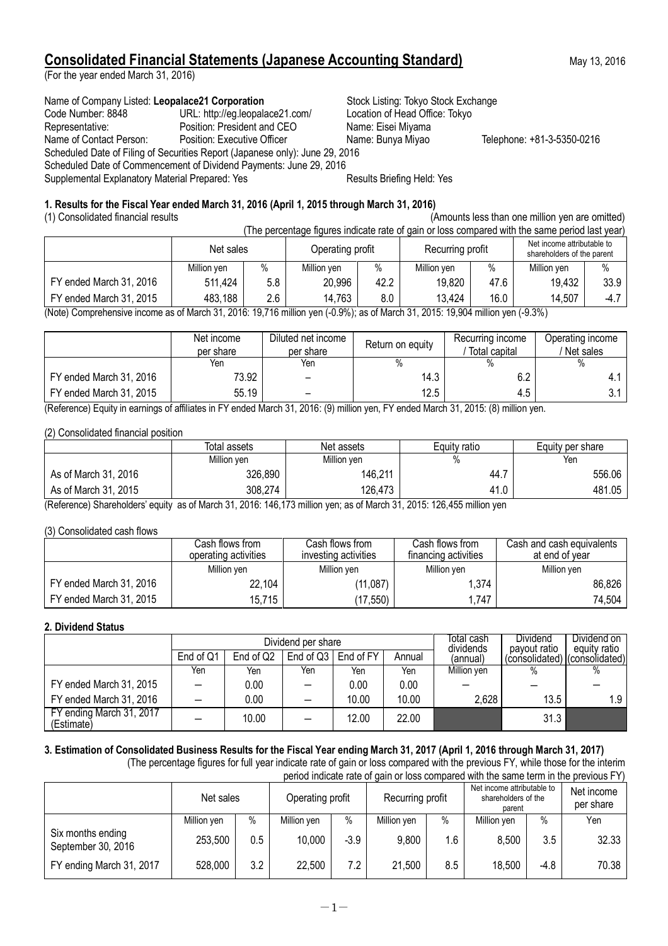## **Consolidated Financial Statements (Japanese Accounting Standard)** May 13, 2016

(For the year ended March 31, 2016)

### Name of Company Listed: Leopalace21 Corporation **Stock Listing: Tokyo Stock Exchange**

Code Number: 8848 URL: http://eg.leopalace21.com/ Location of Head Office: Tokyo<br>Representative: Position: President and CEO Name: Eisei Miyama

Name of Contact Person: Position: Executive Officer Name: Bunya Miyao Telephone: +81-3-5350-0216 Scheduled Date of Filing of Securities Report (Japanese only): June 29, 2016

Representative: Position: President and CEO

Scheduled Date of Commencement of Dividend Payments: June 29, 2016 Supplemental Explanatory Material Prepared: Yes **Results Briefing Held: Yes** Results Briefing Held: Yes

## **1. Results for the Fiscal Year ended March 31, 2016 (April 1, 2015 through March 31, 2016)**

(1) Consolidated financial results (Amounts less than one million yen are omitted)  $(The correction function of a) is a closed number of  $q$  is a closed number of  $q$ .$ 

|                                                                                                                             | l rije percentage ligures lijulcate rate of galli of loss compared with the same period last year. |      |                  |      |                  |      |                                                          |        |  |
|-----------------------------------------------------------------------------------------------------------------------------|----------------------------------------------------------------------------------------------------|------|------------------|------|------------------|------|----------------------------------------------------------|--------|--|
|                                                                                                                             | Net sales                                                                                          |      | Operating profit |      | Recurring profit |      | Net income attributable to<br>shareholders of the parent |        |  |
|                                                                                                                             | Million ven                                                                                        | $\%$ | Million ven      | $\%$ | Million ven      | $\%$ | Million ven                                              | $\%$   |  |
| FY ended March 31, 2016                                                                                                     | 511,424                                                                                            | 5.8  | 20,996           | 42.2 | 19,820           | 47.6 | 19,432                                                   | 33.9   |  |
| FY ended March 31, 2015                                                                                                     | 483.188                                                                                            | 2.6  | 14.763           | 8.0  | 13.424           | 16.0 | 14,507                                                   | $-4.7$ |  |
| (Note) Campanang ing ing ang 56 March 24, 2016, 10 716 million van (0.00) is ang March 21, 2015, 10,001 million van (0.201) |                                                                                                    |      |                  |      |                  |      |                                                          |        |  |

(Note) Comprehensive income as of March 31, 2016: 19,716 million yen (-0.9%); as of March 31, 2015: 19,904 million yen (-9.3%)

|                         | Net income<br>per share | Diluted net income<br>per share | Return on equity | Recurring income<br>Total capital | Operating income<br>Net sales |
|-------------------------|-------------------------|---------------------------------|------------------|-----------------------------------|-------------------------------|
|                         | Yen                     | Yen                             |                  |                                   | $\%$                          |
| FY ended March 31, 2016 | 73.92                   |                                 | 14.3             | 6.2                               |                               |
| FY ended March 31, 2015 | 55.19                   |                                 | 12.5             | 4.5                               |                               |

(Reference) Equity in earnings of affiliates in FY ended March 31, 2016: (9) million yen, FY ended March 31, 2015: (8) million yen.

## (2) Consolidated financial position

|                      | Total assets | Net assets  | Equity ratio | Equity per share |
|----------------------|--------------|-------------|--------------|------------------|
|                      | Million yen  | Million yen | %            | Yen              |
| As of March 31, 2016 | 326,890      | 146,211     | 44. .        | 556.06           |
| As of March 31, 2015 | 308,274      | 126,473     | 41.0         | 481.05           |

(Reference) Shareholders' equity as of March 31, 2016: 146,173 million yen; as of March 31, 2015: 126,455 million yen

## (3) Consolidated cash flows

|                         | Cash flows from<br>operating activities | Cash flows from .<br>investing activities | Cash flows from<br>financing activities | Cash and cash equivalents<br>at end of vear |  |
|-------------------------|-----------------------------------------|-------------------------------------------|-----------------------------------------|---------------------------------------------|--|
|                         | Million yen                             | Million ven                               | Million yen                             | Million ven                                 |  |
| FY ended March 31, 2016 | 22,104                                  | (11, 087)                                 | 1,374                                   | 86,826                                      |  |
| FY ended March 31, 2015 | 15,715                                  | (17, 550)                                 | ,747                                    | 74,504                                      |  |

## **2. Dividend Status**

|                                        |           |           | Dividend per share | Total cash<br>dividends | Dividend<br>payout ratio | Dividend on I<br>equity ratio |      |                               |
|----------------------------------------|-----------|-----------|--------------------|-------------------------|--------------------------|-------------------------------|------|-------------------------------|
|                                        | End of Q1 | End of Q2 |                    | End of $Q3$   End of FY | Annual                   | (annual)                      |      | (consolidated) (consolidated) |
|                                        | Yen       | Yen       | Yen                | Yen                     | Yen                      | Million yen                   | $\%$ | %                             |
| FY ended March 31, 2015                |           | 0.00      |                    | 0.00                    | 0.00                     |                               |      |                               |
| FY ended March 31, 2016                |           | 0.00      |                    | 10.00                   | 10.00                    | 2,628                         | 13.5 | 1.9 <sub>1</sub>              |
| FY ending March 31, 2017<br>(Estimate) |           | 10.00     |                    | 12.00                   | 22.00                    |                               | 31.3 |                               |

#### **3. Estimation of Consolidated Business Results for the Fiscal Year ending March 31, 2017 (April 1, 2016 through March 31, 2017)** (The percentage figures for full year indicate rate of gain or loss compared with the previous FY, while those for the interim

period indicate rate of gain or loss compared with the same term in the previous FY)

|                                         | Net sales   |         | Operating profit |        | Recurring profit |      | Net income attributable to<br>shareholders of the<br>parent |        | Net income<br>per share |
|-----------------------------------------|-------------|---------|------------------|--------|------------------|------|-------------------------------------------------------------|--------|-------------------------|
|                                         | Million yen | $\%$    | Million yen      | $\%$   | Million yen      | $\%$ | Million yen                                                 | $\%$   | Yen                     |
| Six months ending<br>September 30, 2016 | 253,500     | $0.5\,$ | 10,000           | $-3.9$ | 9,800            | 1.6  | 8,500                                                       | 3.5    | 32.33                   |
| FY ending March 31, 2017                | 528,000     | 3.2     | 22,500           | 7.2    | 21,500           | 8.5  | 18,500                                                      | $-4.8$ | 70.38                   |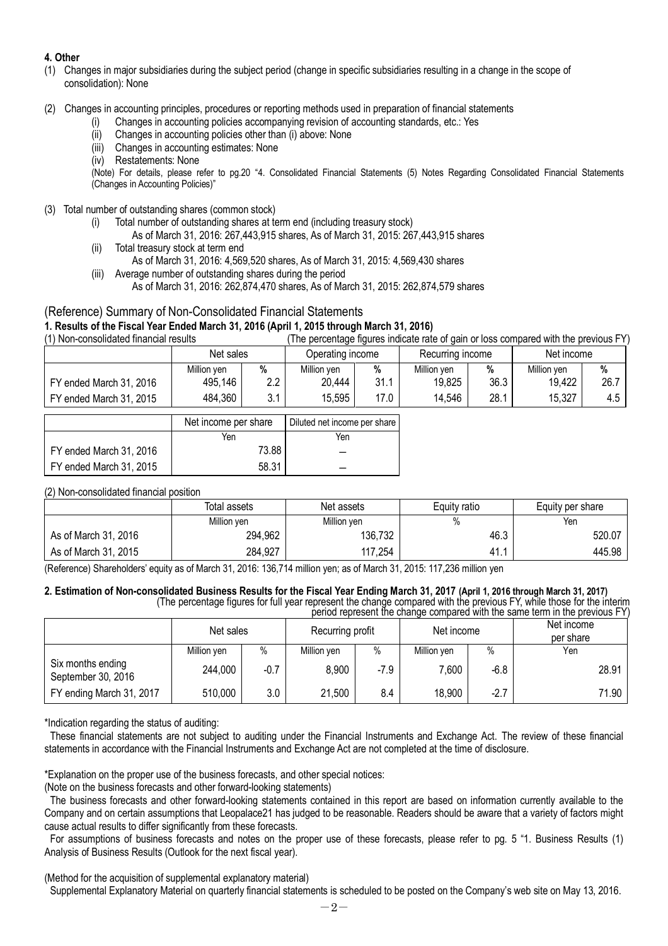## **4. Other**

- (1) Changes in major subsidiaries during the subject period (change in specific subsidiaries resulting in a change in the scope of consolidation): None
- (2) Changes in accounting principles, procedures or reporting methods used in preparation of financial statements
	- (i) Changes in accounting policies accompanying revision of accounting standards, etc.: Yes
	- (ii) Changes in accounting policies other than (i) above: None
	- (iii) Changes in accounting estimates: None
	- (iv) Restatements: None

(Note) For details, please refer to pg.20 "4. Consolidated Financial Statements (5) Notes Regarding Consolidated Financial Statements (Changes in Accounting Policies)"

- (3) Total number of outstanding shares (common stock)
	- (i) Total number of outstanding shares at term end (including treasury stock)
		- As of March 31, 2016: 267,443,915 shares, As of March 31, 2015: 267,443,915 shares
	- (ii) Total treasury stock at term end
		- As of March 31, 2016: 4,569,520 shares, As of March 31, 2015: 4,569,430 shares
	- (iii) Average number of outstanding shares during the period As of March 31, 2016: 262,874,470 shares, As of March 31, 2015: 262,874,579 shares

## (Reference) Summary of Non-Consolidated Financial Statements

# **1. Results of the Fiscal Year Ended March 31, 2016 (April 1, 2015 through March 31, 2016)**

(The percentage figures indicate rate of gain or loss compared with the previous FY)

|                         | Net sales   |            | Operating income |      | Recurring income |      | Net income  |      |
|-------------------------|-------------|------------|------------------|------|------------------|------|-------------|------|
|                         | Million ven | %          | Million ven      | %    | Million ven      | %    | Million ven | %    |
| FY ended March 31, 2016 | 495,146     | 2.2        | 20,444           | 31.1 | 19,825           | 36.3 | 19,422      | 26.7 |
| FY ended March 31, 2015 | 484,360     | ົາ 1<br>J. | 15,595           | 17.0 | 14,546           | 28.1 | 15,327      | 4.5  |

|                         | Net income per share | Diluted net income per share |
|-------------------------|----------------------|------------------------------|
|                         | Yen                  | Yen                          |
| FY ended March 31, 2016 | 73.88                |                              |
| FY ended March 31, 2015 | 58.31                |                              |

(2) Non-consolidated financial position

|                      | Total assets | Net assets  | Equity ratio | Equity per share |
|----------------------|--------------|-------------|--------------|------------------|
|                      | Million ven  | Million yen | %            | Yen              |
| As of March 31, 2016 | 294,962      | 136,732     | 46.3         | 520.07           |
| As of March 31, 2015 | 284,927      | 117,254     | - 41. .      | 445.98           |

(Reference) Shareholders' equity as of March 31, 2016: 136,714 million yen; as of March 31, 2015: 117,236 million yen

#### **2. Estimation of Non-consolidated Business Results for the Fiscal Year Ending March 31, 2017 (April 1, 2016 through March 31, 2017)** (The percentage figures for full year represent the change compared with the previous FY, while those for the interim

|                                         |             |           |             |                  |             |            | period represent the change compared with the same term in the previous FY) |
|-----------------------------------------|-------------|-----------|-------------|------------------|-------------|------------|-----------------------------------------------------------------------------|
|                                         |             | Net sales |             | Recurring profit |             | Net income | Net income<br>per share                                                     |
|                                         | Million yen | $\%$      | Million yen | $\%$             | Million yen | $\%$       | Yen                                                                         |
| Six months ending<br>September 30, 2016 | 244,000     | $-0.7$    | 8,900       | $-7.9$           | 7.600       | $-6.8$     | 28.91                                                                       |
| FY ending March 31, 2017                | 510,000     | 3.0       | 21,500      | 8.4              | 18,900      | $-2.7$     | 71.90                                                                       |

\*Indication regarding the status of auditing:

These financial statements are not subject to auditing under the Financial Instruments and Exchange Act. The review of these financial statements in accordance with the Financial Instruments and Exchange Act are not completed at the time of disclosure.

\*Explanation on the proper use of the business forecasts, and other special notices:

(Note on the business forecasts and other forward-looking statements)

The business forecasts and other forward-looking statements contained in this report are based on information currently available to the Company and on certain assumptions that Leopalace21 has judged to be reasonable. Readers should be aware that a variety of factors might cause actual results to differ significantly from these forecasts.

For assumptions of business forecasts and notes on the proper use of these forecasts, please refer to pg. 5 "1. Business Results (1) Analysis of Business Results (Outlook for the next fiscal year).

(Method for the acquisition of supplemental explanatory material)

Supplemental Explanatory Material on quarterly financial statements is scheduled to be posted on the Company's web site on May 13, 2016.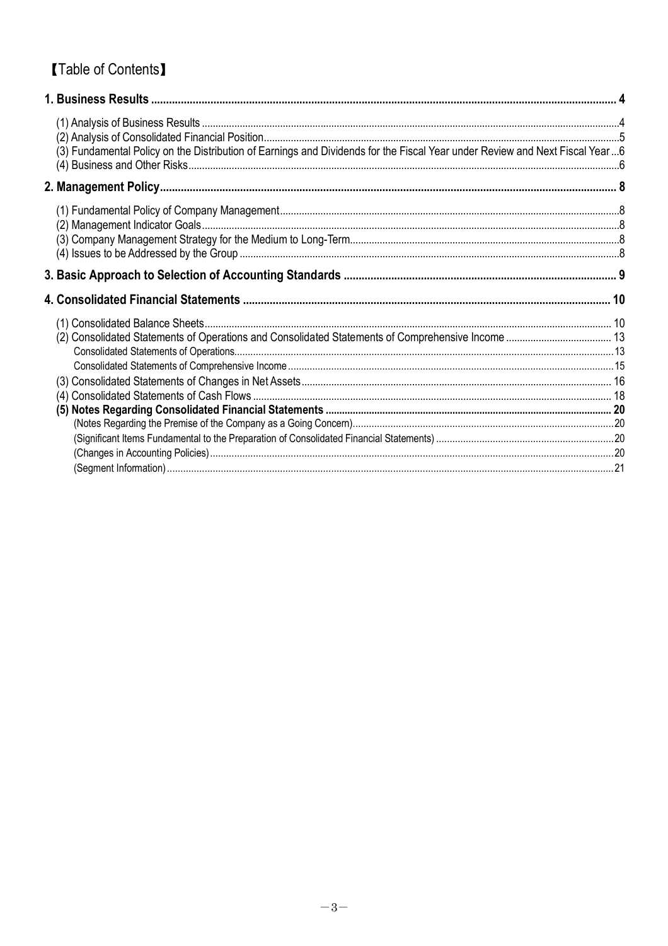# **[Table of Contents]**

| (3) Fundamental Policy on the Distribution of Earnings and Dividends for the Fiscal Year under Review and Next Fiscal Year6 |  |
|-----------------------------------------------------------------------------------------------------------------------------|--|
|                                                                                                                             |  |
|                                                                                                                             |  |
|                                                                                                                             |  |
|                                                                                                                             |  |
|                                                                                                                             |  |
|                                                                                                                             |  |
|                                                                                                                             |  |
|                                                                                                                             |  |
|                                                                                                                             |  |
|                                                                                                                             |  |
|                                                                                                                             |  |
|                                                                                                                             |  |
|                                                                                                                             |  |
|                                                                                                                             |  |
|                                                                                                                             |  |
|                                                                                                                             |  |
|                                                                                                                             |  |
|                                                                                                                             |  |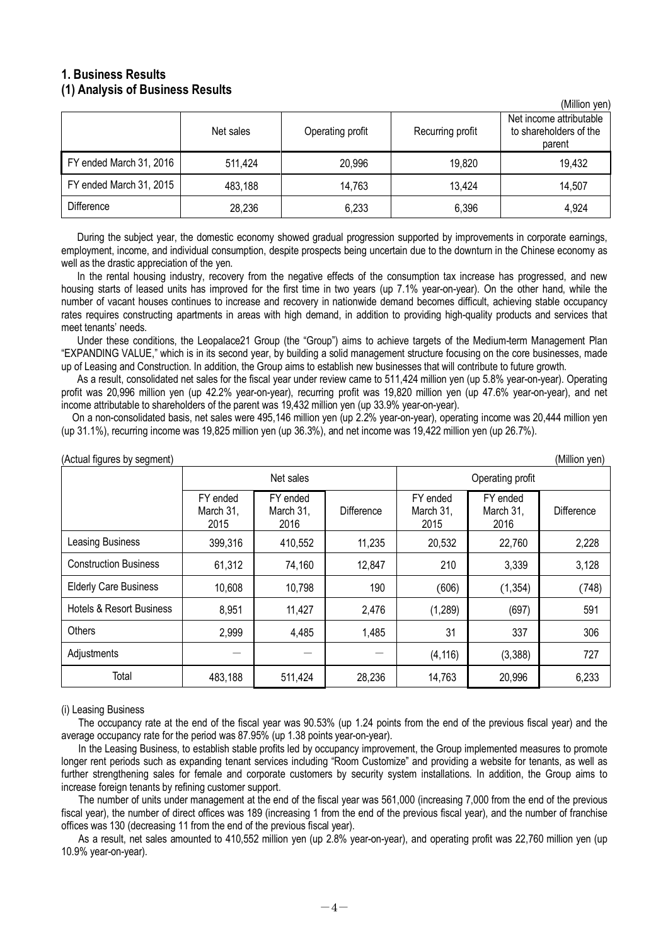## **1. Business Results (1) Analysis of Business Results**

|                         |           |                  |                  | (Million yen)                                               |
|-------------------------|-----------|------------------|------------------|-------------------------------------------------------------|
|                         | Net sales | Operating profit | Recurring profit | Net income attributable<br>to shareholders of the<br>parent |
| FY ended March 31, 2016 | 511,424   | 20,996           | 19,820           | 19,432                                                      |
| FY ended March 31, 2015 | 483,188   | 14,763           | 13,424           | 14,507                                                      |
| <b>Difference</b>       | 28,236    | 6,233            | 6,396            | 4,924                                                       |

During the subject year, the domestic economy showed gradual progression supported by improvements in corporate earnings. employment, income, and individual consumption, despite prospects being uncertain due to the downturn in the Chinese economy as well as the drastic appreciation of the yen.

In the rental housing industry, recovery from the negative effects of the consumption tax increase has progressed, and new housing starts of leased units has improved for the first time in two years (up 7.1% year-on-year). On the other hand, while the number of vacant houses continues to increase and recovery in nationwide demand becomes difficult, achieving stable occupancy rates requires constructing apartments in areas with high demand, in addition to providing high-quality products and services that meet tenants' needs.

Under these conditions, the Leopalace21 Group (the "Group") aims to achieve targets of the Medium-term Management Plan "EXPANDING VALUE," which is in its second year, by building a solid management structure focusing on the core businesses, made up of Leasing and Construction. In addition, the Group aims to establish new businesses that will contribute to future growth.

As a result, consolidated net sales for the fiscal year under review came to 511,424 million yen (up 5.8% year-on-year). Operating profit was 20,996 million yen (up 42.2% year-on-year), recurring profit was 19,820 million yen (up 47.6% year-on-year), and net income attributable to shareholders of the parent was 19,432 million yen (up 33.9% year-on-year).

On a non-consolidated basis, net sales were 495,146 million yen (up 2.2% year-on-year), operating income was 20,444 million yen (up 31.1%), recurring income was 19,825 million yen (up 36.3%), and net income was 19,422 million yen (up 26.7%).

| (Actual figures by segment)<br>(Million yen) |                               |                               |                   |                               |                               |            |  |  |
|----------------------------------------------|-------------------------------|-------------------------------|-------------------|-------------------------------|-------------------------------|------------|--|--|
|                                              |                               | Net sales                     |                   |                               |                               |            |  |  |
|                                              | FY ended<br>March 31.<br>2015 | FY ended<br>March 31,<br>2016 | <b>Difference</b> | FY ended<br>March 31,<br>2015 | FY ended<br>March 31,<br>2016 | Difference |  |  |
| <b>Leasing Business</b>                      | 399,316                       | 410,552                       | 11,235            | 20,532                        | 22,760                        | 2,228      |  |  |
| <b>Construction Business</b>                 | 61,312                        | 74,160                        | 12,847            | 210                           | 3,339                         | 3,128      |  |  |
| <b>Elderly Care Business</b>                 | 10,608                        | 10,798                        | 190               | (606)                         | (1, 354)                      | (748)      |  |  |
| <b>Hotels &amp; Resort Business</b>          | 8,951                         | 11,427                        | 2,476             | (1, 289)                      | (697)                         | 591        |  |  |
| Others                                       | 2,999                         | 4,485                         | 1,485             | 31                            | 337                           | 306        |  |  |
| Adjustments                                  |                               |                               |                   | (4, 116)                      | (3,388)                       | 727        |  |  |
| Total                                        | 483,188                       | 511,424                       | 28,236            | 14,763                        | 20,996                        | 6,233      |  |  |

### (i) Leasing Business

The occupancy rate at the end of the fiscal year was 90.53% (up 1.24 points from the end of the previous fiscal year) and the average occupancy rate for the period was 87.95% (up 1.38 points year-on-year).

In the Leasing Business, to establish stable profits led by occupancy improvement, the Group implemented measures to promote longer rent periods such as expanding tenant services including "Room Customize" and providing a website for tenants, as well as further strengthening sales for female and corporate customers by security system installations. In addition, the Group aims to increase foreign tenants by refining customer support.

The number of units under management at the end of the fiscal year was 561,000 (increasing 7,000 from the end of the previous fiscal year), the number of direct offices was 189 (increasing 1 from the end of the previous fiscal year), and the number of franchise offices was 130 (decreasing 11 from the end of the previous fiscal year).

As a result, net sales amounted to 410,552 million yen (up 2.8% year-on-year), and operating profit was 22,760 million yen (up 10.9% year-on-year).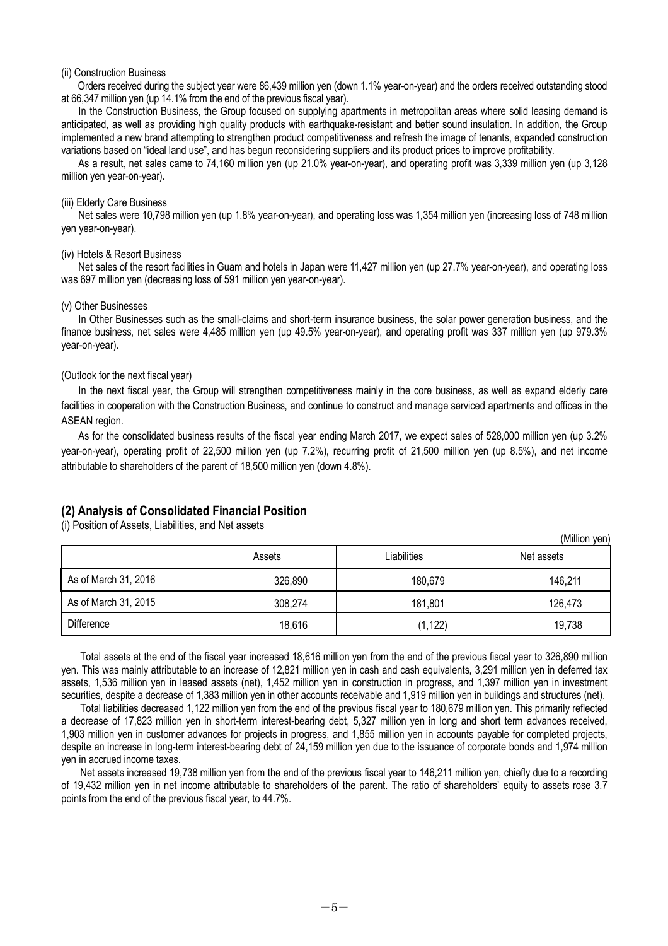#### (ii) Construction Business

Orders received during the subject year were 86,439 million yen (down 1.1% year-on-year) and the orders received outstanding stood at 66,347 million yen (up 14.1% from the end of the previous fiscal year).

In the Construction Business, the Group focused on supplying apartments in metropolitan areas where solid leasing demand is anticipated, as well as providing high quality products with earthquake-resistant and better sound insulation. In addition, the Group implemented a new brand attempting to strengthen product competitiveness and refresh the image of tenants, expanded construction variations based on "ideal land use", and has begun reconsidering suppliers and its product prices to improve profitability.

As a result, net sales came to 74,160 million yen (up 21.0% year-on-year), and operating profit was 3,339 million yen (up 3,128 million yen year-on-year).

#### (iii) Elderly Care Business

Net sales were 10,798 million yen (up 1.8% year-on-year), and operating loss was 1,354 million yen (increasing loss of 748 million yen year-on-year).

#### (iv) Hotels & Resort Business

Net sales of the resort facilities in Guam and hotels in Japan were 11,427 million yen (up 27.7% year-on-year), and operating loss was 697 million yen (decreasing loss of 591 million yen year-on-year).

#### (v) Other Businesses

In Other Businesses such as the small-claims and short-term insurance business, the solar power generation business, and the finance business, net sales were 4,485 million yen (up 49.5% year-on-year), and operating profit was 337 million yen (up 979.3% year-on-year).

#### (Outlook for the next fiscal year)

In the next fiscal year, the Group will strengthen competitiveness mainly in the core business, as well as expand elderly care facilities in cooperation with the Construction Business, and continue to construct and manage serviced apartments and offices in the ASEAN region.

As for the consolidated business results of the fiscal year ending March 2017, we expect sales of 528,000 million yen (up 3.2% year-on-year), operating profit of 22,500 million yen (up 7.2%), recurring profit of 21,500 million yen (up 8.5%), and net income attributable to shareholders of the parent of 18,500 million yen (down 4.8%).

#### **(2) Analysis of Consolidated Financial Position**

(i) Position of Assets, Liabilities, and Net assets

(Million yen) Assets **Net assets** Liabilities **Net assets** As of March 31, 2016 146,211 326,890 180,679 180,679 146,211 As of March 31, 2015 | 308,274 | 181,801 | 126,473 Difference 18,616 (1,122) 19,738

Total assets at the end of the fiscal year increased 18,616 million yen from the end of the previous fiscal year to 326,890 million yen. This was mainly attributable to an increase of 12,821 million yen in cash and cash equivalents, 3,291 million yen in deferred tax assets, 1,536 million yen in leased assets (net), 1,452 million yen in construction in progress, and 1,397 million yen in investment securities, despite a decrease of 1,383 million yen in other accounts receivable and 1,919 million yen in buildings and structures (net).

Total liabilities decreased 1,122 million yen from the end of the previous fiscal year to 180,679 million yen. This primarily reflected a decrease of 17,823 million yen in short-term interest-bearing debt, 5,327 million yen in long and short term advances received, 1,903 million yen in customer advances for projects in progress, and 1,855 million yen in accounts payable for completed projects, despite an increase in long-term interest-bearing debt of 24,159 million yen due to the issuance of corporate bonds and 1,974 million yen in accrued income taxes.

Net assets increased 19,738 million yen from the end of the previous fiscal year to 146,211 million yen, chiefly due to a recording of 19,432 million yen in net income attributable to shareholders of the parent. The ratio of shareholders' equity to assets rose 3.7 points from the end of the previous fiscal year, to 44.7%.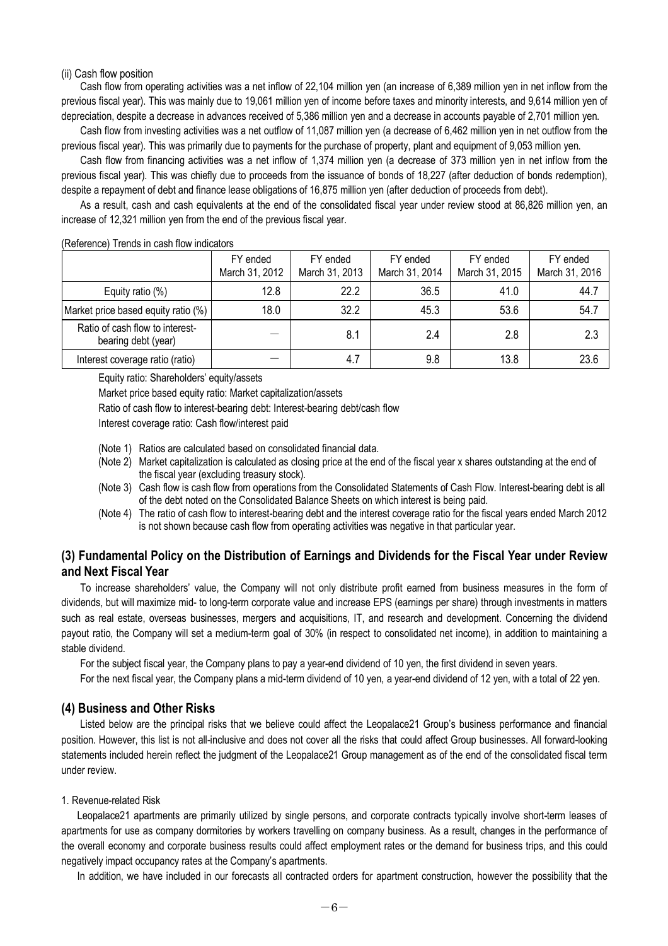#### (ii) Cash flow position

Cash flow from operating activities was a net inflow of 22,104 million yen (an increase of 6,389 million yen in net inflow from the previous fiscal year). This was mainly due to 19,061 million yen of income before taxes and minority interests, and 9,614 million yen of depreciation, despite a decrease in advances received of 5,386 million yen and a decrease in accounts payable of 2,701 million yen.

Cash flow from investing activities was a net outflow of 11,087 million yen (a decrease of 6,462 million yen in net outflow from the previous fiscal year). This was primarily due to payments for the purchase of property, plant and equipment of 9,053 million yen.

Cash flow from financing activities was a net inflow of 1,374 million yen (a decrease of 373 million yen in net inflow from the previous fiscal year). This was chiefly due to proceeds from the issuance of bonds of 18,227 (after deduction of bonds redemption), despite a repayment of debt and finance lease obligations of 16,875 million yen (after deduction of proceeds from debt).

As a result, cash and cash equivalents at the end of the consolidated fiscal year under review stood at 86,826 million yen, an increase of 12,321 million yen from the end of the previous fiscal year.

| <b>INCICICITIVE: ITENUS IN CASH NOW INJUGATORS</b>     |                            |                            |                            |                            |                            |  |  |
|--------------------------------------------------------|----------------------------|----------------------------|----------------------------|----------------------------|----------------------------|--|--|
|                                                        | FY ended<br>March 31, 2012 | FY ended<br>March 31, 2013 | FY ended<br>March 31, 2014 | FY ended<br>March 31, 2015 | FY ended<br>March 31, 2016 |  |  |
| Equity ratio $(\%)$                                    | 12.8                       | 22.2                       | 36.5                       | 41.0                       | 44.7                       |  |  |
| Market price based equity ratio (%)                    | 18.0                       | 32.2                       | 45.3                       | 53.6                       | 54.7                       |  |  |
| Ratio of cash flow to interest-<br>bearing debt (year) |                            | 8.1                        | 2.4                        | 2.8                        | 2.3                        |  |  |
| Interest coverage ratio (ratio)                        |                            | 4.7                        | 9.8                        | 13.8                       | 23.6                       |  |  |

#### (Reference) Trends in cash flow indicators

Equity ratio: Shareholders' equity/assets

Market price based equity ratio: Market capitalization/assets

Ratio of cash flow to interest-bearing debt: Interest-bearing debt/cash flow

Interest coverage ratio: Cash flow/interest paid

(Note 1) Ratios are calculated based on consolidated financial data.

- (Note 2) Market capitalization is calculated as closing price at the end of the fiscal year x shares outstanding at the end of the fiscal year (excluding treasury stock).
- (Note 3) Cash flow is cash flow from operations from the Consolidated Statements of Cash Flow. Interest-bearing debt is all of the debt noted on the Consolidated Balance Sheets on which interest is being paid.
- (Note 4) The ratio of cash flow to interest-bearing debt and the interest coverage ratio for the fiscal years ended March 2012 is not shown because cash flow from operating activities was negative in that particular year.

## **(3) Fundamental Policy on the Distribution of Earnings and Dividends for the Fiscal Year under Review and Next Fiscal Year**

To increase shareholders' value, the Company will not only distribute profit earned from business measures in the form of dividends, but will maximize mid- to long-term corporate value and increase EPS (earnings per share) through investments in matters such as real estate, overseas businesses, mergers and acquisitions, IT, and research and development. Concerning the dividend payout ratio, the Company will set a medium-term goal of 30% (in respect to consolidated net income), in addition to maintaining a stable dividend.

For the subject fiscal year, the Company plans to pay a year-end dividend of 10 yen, the first dividend in seven years.

For the next fiscal year, the Company plans a mid-term dividend of 10 yen, a year-end dividend of 12 yen, with a total of 22 yen.

## **(4) Business and Other Risks**

Listed below are the principal risks that we believe could affect the Leopalace21 Group's business performance and financial position. However, this list is not all-inclusive and does not cover all the risks that could affect Group businesses. All forward-looking statements included herein reflect the judgment of the Leopalace21 Group management as of the end of the consolidated fiscal term under review.

#### 1. Revenue-related Risk

Leopalace21 apartments are primarily utilized by single persons, and corporate contracts typically involve short-term leases of apartments for use as company dormitories by workers travelling on company business. As a result, changes in the performance of the overall economy and corporate business results could affect employment rates or the demand for business trips, and this could negatively impact occupancy rates at the Company's apartments.

In addition, we have included in our forecasts all contracted orders for apartment construction, however the possibility that the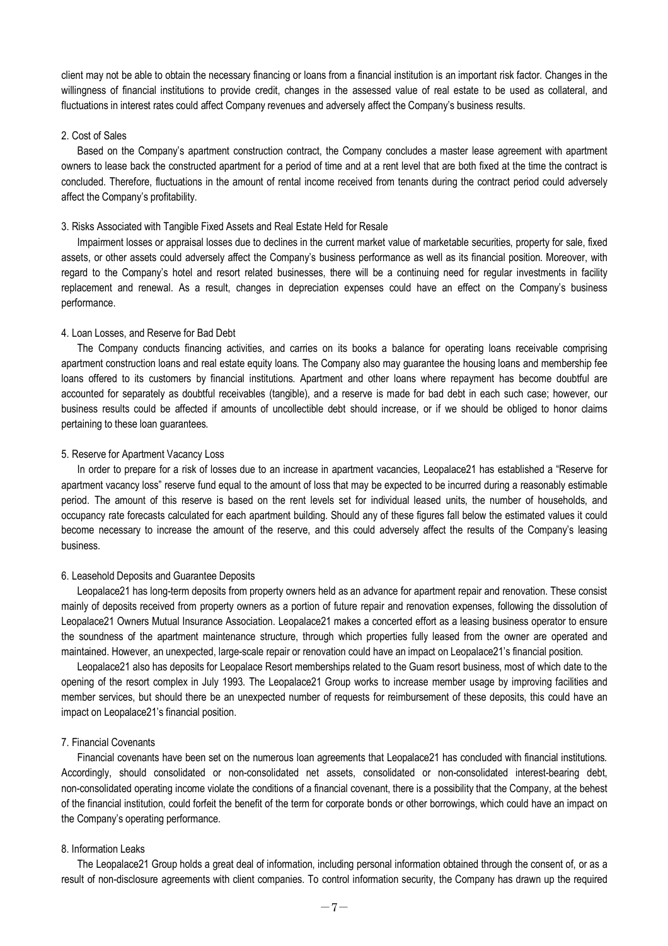client may not be able to obtain the necessary financing or loans from a financial institution is an important risk factor. Changes in the willingness of financial institutions to provide credit, changes in the assessed value of real estate to be used as collateral, and fluctuations in interest rates could affect Company revenues and adversely affect the Company's business results.

#### 2. Cost of Sales

Based on the Company's apartment construction contract, the Company concludes a master lease agreement with apartment owners to lease back the constructed apartment for a period of time and at a rent level that are both fixed at the time the contract is concluded. Therefore, fluctuations in the amount of rental income received from tenants during the contract period could adversely affect the Company's profitability.

#### 3. Risks Associated with Tangible Fixed Assets and Real Estate Held for Resale

Impairment losses or appraisal losses due to declines in the current market value of marketable securities, property for sale, fixed assets, or other assets could adversely affect the Company's business performance as well as its financial position. Moreover, with regard to the Company's hotel and resort related businesses, there will be a continuing need for regular investments in facility replacement and renewal. As a result, changes in depreciation expenses could have an effect on the Company's business performance.

#### 4. Loan Losses, and Reserve for Bad Debt

The Company conducts financing activities, and carries on its books a balance for operating loans receivable comprising apartment construction loans and real estate equity loans. The Company also may guarantee the housing loans and membership fee loans offered to its customers by financial institutions. Apartment and other loans where repayment has become doubtful are accounted for separately as doubtful receivables (tangible), and a reserve is made for bad debt in each such case; however, our business results could be affected if amounts of uncollectible debt should increase, or if we should be obliged to honor claims pertaining to these loan guarantees.

#### 5. Reserve for Apartment Vacancy Loss

In order to prepare for a risk of losses due to an increase in apartment vacancies, Leopalace21 has established a "Reserve for apartment vacancy loss" reserve fund equal to the amount of loss that may be expected to be incurred during a reasonably estimable period. The amount of this reserve is based on the rent levels set for individual leased units, the number of households, and occupancy rate forecasts calculated for each apartment building. Should any of these figures fall below the estimated values it could become necessary to increase the amount of the reserve, and this could adversely affect the results of the Company's leasing business.

#### 6. Leasehold Deposits and Guarantee Deposits

Leopalace21 has long-term deposits from property owners held as an advance for apartment repair and renovation. These consist mainly of deposits received from property owners as a portion of future repair and renovation expenses, following the dissolution of Leopalace21 Owners Mutual Insurance Association. Leopalace21 makes a concerted effort as a leasing business operator to ensure the soundness of the apartment maintenance structure, through which properties fully leased from the owner are operated and maintained. However, an unexpected, large-scale repair or renovation could have an impact on Leopalace21's financial position.

Leopalace21 also has deposits for Leopalace Resort memberships related to the Guam resort business, most of which date to the opening of the resort complex in July 1993. The Leopalace21 Group works to increase member usage by improving facilities and member services, but should there be an unexpected number of requests for reimbursement of these deposits, this could have an impact on Leopalace21's financial position.

#### 7. Financial Covenants

Financial covenants have been set on the numerous loan agreements that Leopalace21 has concluded with financial institutions. Accordingly, should consolidated or non-consolidated net assets, consolidated or non-consolidated interest-bearing debt, non-consolidated operating income violate the conditions of a financial covenant, there is a possibility that the Company, at the behest of the financial institution, could forfeit the benefit of the term for corporate bonds or other borrowings, which could have an impact on the Company's operating performance.

#### 8. Information Leaks

The Leopalace21 Group holds a great deal of information, including personal information obtained through the consent of, or as a result of non-disclosure agreements with client companies. To control information security, the Company has drawn up the required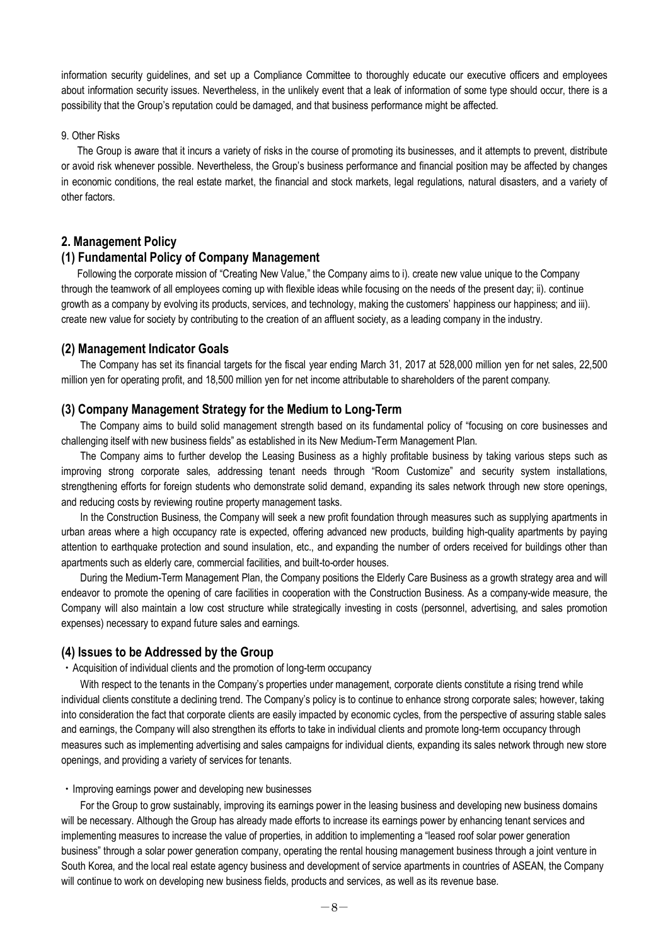information security guidelines, and set up a Compliance Committee to thoroughly educate our executive officers and employees about information security issues. Nevertheless, in the unlikely event that a leak of information of some type should occur, there is a possibility that the Group's reputation could be damaged, and that business performance might be affected.

#### 9. Other Risks

The Group is aware that it incurs a variety of risks in the course of promoting its businesses, and it attempts to prevent, distribute or avoid risk whenever possible. Nevertheless, the Group's business performance and financial position may be affected by changes in economic conditions, the real estate market, the financial and stock markets, legal regulations, natural disasters, and a variety of other factors.

## **2. Management Policy**

## **(1) Fundamental Policy of Company Management**

Following the corporate mission of "Creating New Value," the Company aims to i). create new value unique to the Company through the teamwork of all employees coming up with flexible ideas while focusing on the needs of the present day; ii). continue growth as a company by evolving its products, services, and technology, making the customers' happiness our happiness; and iii). create new value for society by contributing to the creation of an affluent society, as a leading company in the industry.

## **(2) Management Indicator Goals**

The Company has set its financial targets for the fiscal year ending March 31, 2017 at 528,000 million yen for net sales, 22,500 million yen for operating profit, and 18,500 million yen for net income attributable to shareholders of the parent company.

## **(3) Company Management Strategy for the Medium to Long-Term**

The Company aims to build solid management strength based on its fundamental policy of "focusing on core businesses and challenging itself with new business fields" as established in its New Medium-Term Management Plan.

The Company aims to further develop the Leasing Business as a highly profitable business by taking various steps such as improving strong corporate sales, addressing tenant needs through "Room Customize" and security system installations, strengthening efforts for foreign students who demonstrate solid demand, expanding its sales network through new store openings, and reducing costs by reviewing routine property management tasks.

In the Construction Business, the Company will seek a new profit foundation through measures such as supplying apartments in urban areas where a high occupancy rate is expected, offering advanced new products, building high-quality apartments by paying attention to earthquake protection and sound insulation, etc., and expanding the number of orders received for buildings other than apartments such as elderly care, commercial facilities, and built-to-order houses.

During the Medium-Term Management Plan, the Company positions the Elderly Care Business as a growth strategy area and will endeavor to promote the opening of care facilities in cooperation with the Construction Business. As a company-wide measure, the Company will also maintain a low cost structure while strategically investing in costs (personnel, advertising, and sales promotion expenses) necessary to expand future sales and earnings.

## **(4) Issues to be Addressed by the Group**

・Acquisition of individual clients and the promotion of long-term occupancy

With respect to the tenants in the Company's properties under management, corporate clients constitute a rising trend while individual clients constitute a declining trend. The Company's policy is to continue to enhance strong corporate sales; however, taking into consideration the fact that corporate clients are easily impacted by economic cycles, from the perspective of assuring stable sales and earnings, the Company will also strengthen its efforts to take in individual clients and promote long-term occupancy through measures such as implementing advertising and sales campaigns for individual clients, expanding its sales network through new store openings, and providing a variety of services for tenants.

#### ・Improving earnings power and developing new businesses

For the Group to grow sustainably, improving its earnings power in the leasing business and developing new business domains will be necessary. Although the Group has already made efforts to increase its earnings power by enhancing tenant services and implementing measures to increase the value of properties, in addition to implementing a "leased roof solar power generation business" through a solar power generation company, operating the rental housing management business through a joint venture in South Korea, and the local real estate agency business and development of service apartments in countries of ASEAN, the Company will continue to work on developing new business fields, products and services, as well as its revenue base.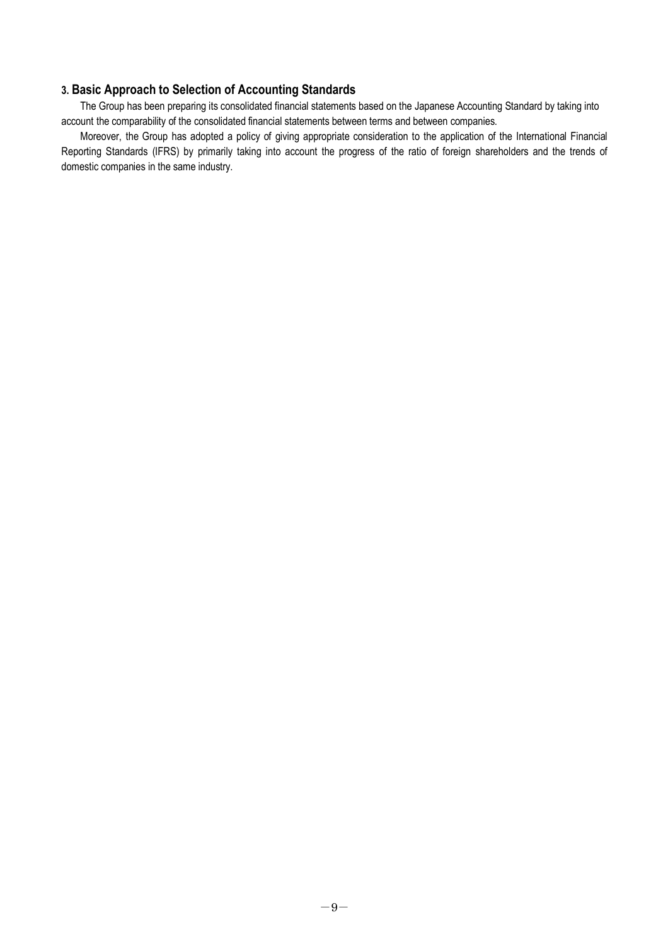## **3. Basic Approach to Selection of Accounting Standards**

The Group has been preparing its consolidated financial statements based on the Japanese Accounting Standard by taking into account the comparability of the consolidated financial statements between terms and between companies.

Moreover, the Group has adopted a policy of giving appropriate consideration to the application of the International Financial Reporting Standards (IFRS) by primarily taking into account the progress of the ratio of foreign shareholders and the trends of domestic companies in the same industry.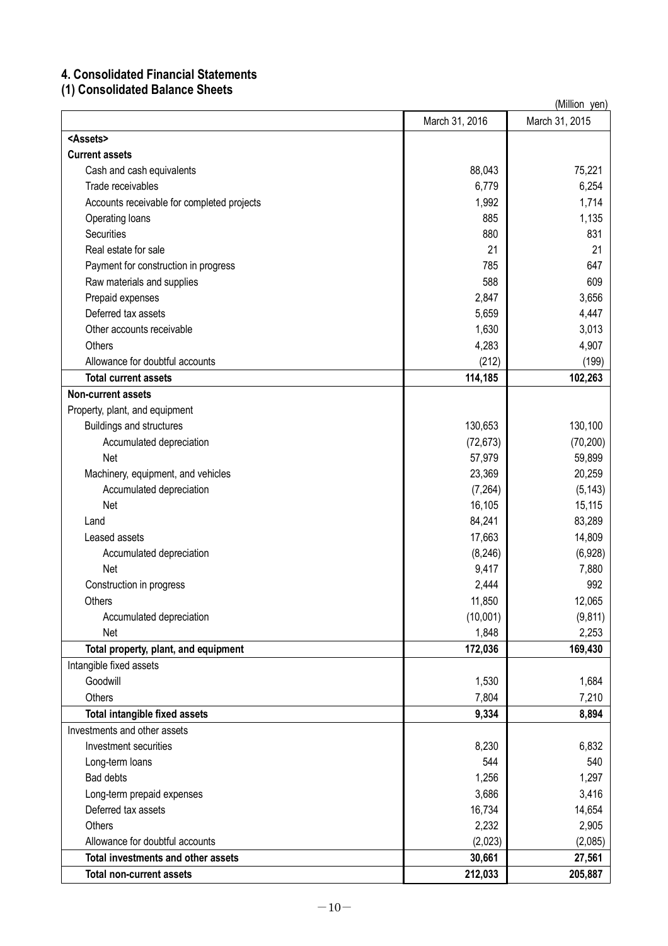## **4. Consolidated Financial Statements**

**(1) Consolidated Balance Sheets**

|                                            |                | (Million yen)  |
|--------------------------------------------|----------------|----------------|
|                                            | March 31, 2016 | March 31, 2015 |
| <assets></assets>                          |                |                |
| <b>Current assets</b>                      |                |                |
| Cash and cash equivalents                  | 88,043         | 75,221         |
| Trade receivables                          | 6,779          | 6,254          |
| Accounts receivable for completed projects | 1,992          | 1,714          |
| Operating loans                            | 885            | 1,135          |
| <b>Securities</b>                          | 880            | 831            |
| Real estate for sale                       | 21             | 21             |
| Payment for construction in progress       | 785            | 647            |
| Raw materials and supplies                 | 588            | 609            |
| Prepaid expenses                           | 2,847          | 3,656          |
| Deferred tax assets                        | 5,659          | 4,447          |
| Other accounts receivable                  | 1,630          | 3,013          |
| Others                                     | 4,283          | 4,907          |
| Allowance for doubtful accounts            | (212)          | (199)          |
| <b>Total current assets</b>                | 114,185        | 102,263        |
| <b>Non-current assets</b>                  |                |                |
| Property, plant, and equipment             |                |                |
| Buildings and structures                   | 130,653        | 130,100        |
| Accumulated depreciation                   | (72, 673)      | (70, 200)      |
| Net                                        | 57,979         | 59,899         |
| Machinery, equipment, and vehicles         | 23,369         | 20,259         |
| Accumulated depreciation                   | (7, 264)       | (5, 143)       |
| Net                                        | 16,105         | 15,115         |
| Land                                       | 84,241         | 83,289         |
| Leased assets                              | 17,663         | 14,809         |
| Accumulated depreciation                   | (8, 246)       | (6,928)        |
| Net                                        | 9,417          | 7,880          |
| Construction in progress                   | 2,444          | 992            |
| Others                                     | 11,850         | 12,065         |
| Accumulated depreciation                   | (10,001)       | (9, 811)       |
| Net                                        | 1,848          | 2,253          |
| Total property, plant, and equipment       | 172,036        | 169,430        |
| Intangible fixed assets                    |                |                |
| Goodwill                                   | 1,530          | 1,684          |
| <b>Others</b>                              | 7,804          | 7,210          |
| Total intangible fixed assets              | 9,334          | 8,894          |
| Investments and other assets               |                |                |
| Investment securities                      | 8,230          | 6,832          |
| Long-term loans                            | 544            | 540            |
| <b>Bad debts</b>                           | 1,256          | 1,297          |
| Long-term prepaid expenses                 | 3,686          | 3,416          |
| Deferred tax assets                        | 16,734         | 14,654         |
| <b>Others</b>                              | 2,232          | 2,905          |
| Allowance for doubtful accounts            | (2,023)        | (2,085)        |
| Total investments and other assets         | 30,661         | 27,561         |
| <b>Total non-current assets</b>            | 212,033        | 205,887        |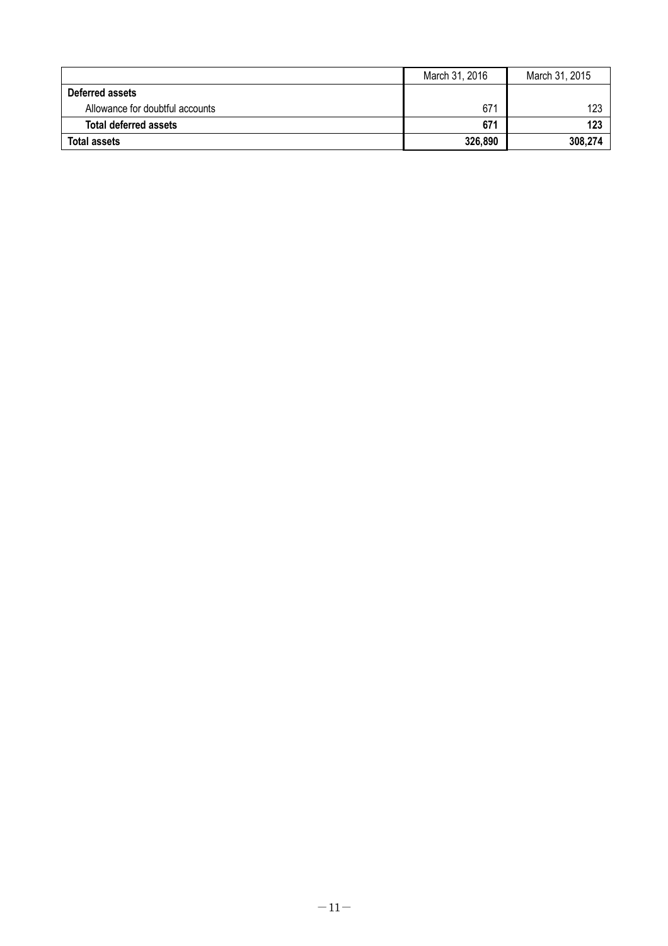|                                 | March 31, 2016 | March 31, 2015 |
|---------------------------------|----------------|----------------|
| Deferred assets                 |                |                |
| Allowance for doubtful accounts | 671            | 123            |
| <b>Total deferred assets</b>    | 671            | 123            |
| <b>Total assets</b>             | 326,890        | 308,274        |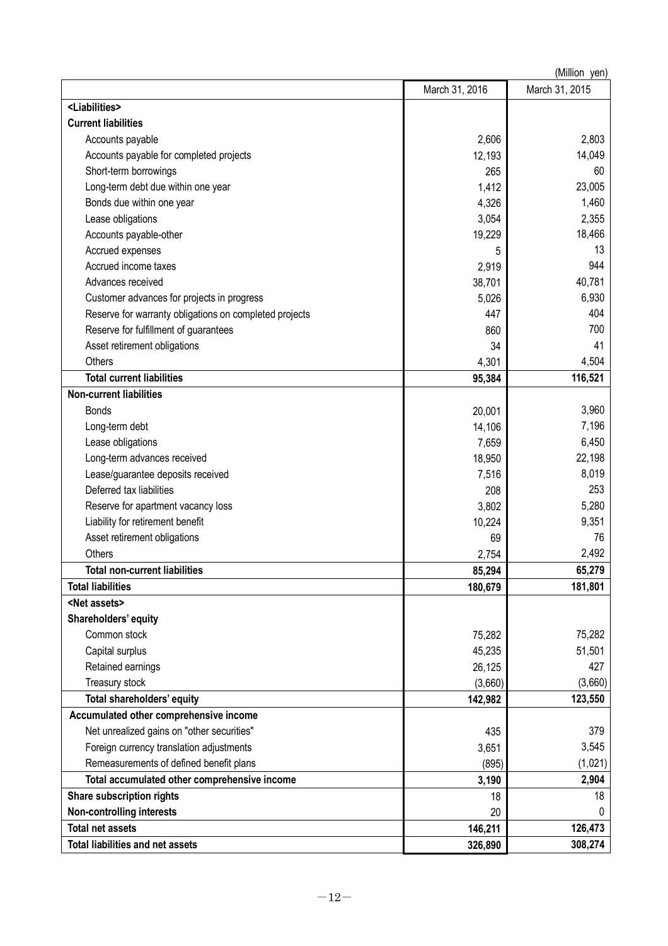|                                                        |                | (Million yen)  |
|--------------------------------------------------------|----------------|----------------|
|                                                        | March 31, 2016 | March 31, 2015 |
| <liabilities></liabilities>                            |                |                |
| <b>Current liabilities</b>                             |                |                |
| Accounts payable                                       | 2,606          | 2,803          |
| Accounts payable for completed projects                | 12,193         | 14,049         |
| Short-term borrowings                                  | 265            | 60             |
| Long-term debt due within one year                     | 1,412          | 23,005         |
| Bonds due within one year                              | 4,326          | 1,460          |
| Lease obligations                                      | 3,054          | 2,355          |
| Accounts payable-other                                 | 19,229         | 18,466         |
| Accrued expenses                                       | 5              | 13             |
| Accrued income taxes                                   | 2,919          | 944            |
| Advances received                                      | 38,701         | 40,781         |
| Customer advances for projects in progress             | 5,026          | 6,930          |
| Reserve for warranty obligations on completed projects | 447            | 404            |
| Reserve for fulfillment of guarantees                  | 860            | 700            |
| Asset retirement obligations                           | 34             | 41             |
| Others                                                 | 4,301          | 4,504          |
| <b>Total current liabilities</b>                       | 95,384         | 116,521        |
| <b>Non-current liabilities</b>                         |                |                |
| <b>Bonds</b>                                           | 20,001         | 3,960          |
| Long-term debt                                         | 14,106         | 7,196          |
| Lease obligations                                      | 7,659          | 6,450          |
| Long-term advances received                            | 18,950         | 22,198         |
| Lease/guarantee deposits received                      | 7,516          | 8,019          |
| Deferred tax liabilities                               | 208            | 253            |
| Reserve for apartment vacancy loss                     | 3,802          | 5,280          |
| Liability for retirement benefit                       | 10,224         | 9,351          |
| Asset retirement obligations                           | 69             | 76             |
| <b>Others</b>                                          | 2,754          | 2,492          |
| Total non-current liabilities                          | 85,294         | 65,279         |
| <b>Total liabilities</b>                               | 180,679        | 181,801        |
| <net assets=""></net>                                  |                |                |
| Shareholders' equity                                   |                |                |
| Common stock                                           | 75,282         | 75,282         |
| Capital surplus                                        | 45,235         | 51,501         |
| Retained earnings                                      | 26,125         | 427            |
| Treasury stock                                         | (3,660)        | (3,660)        |
| Total shareholders' equity                             | 142,982        | 123,550        |
| Accumulated other comprehensive income                 |                |                |
| Net unrealized gains on "other securities"             | 435            | 379            |
| Foreign currency translation adjustments               | 3,651          | 3,545          |
| Remeasurements of defined benefit plans                | (895)          | (1,021)        |
| Total accumulated other comprehensive income           | 3,190          | 2,904          |
| Share subscription rights                              | 18             | 18             |
| <b>Non-controlling interests</b>                       | 20             | 0              |
| <b>Total net assets</b>                                | 146,211        | 126,473        |
| <b>Total liabilities and net assets</b>                | 326,890        | 308,274        |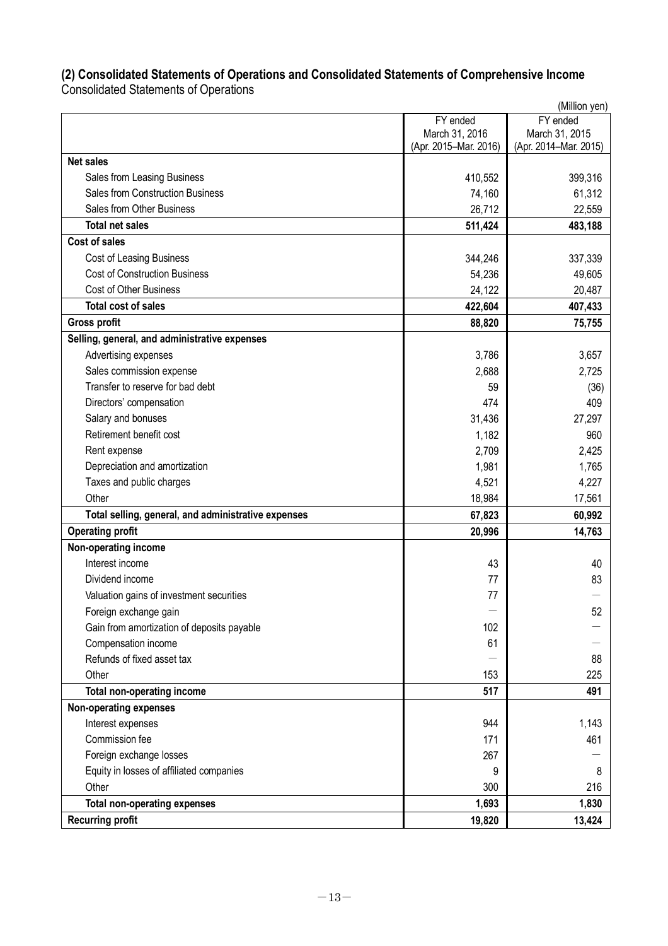## **(2) Consolidated Statements of Operations and Consolidated Statements of Comprehensive Income**

Consolidated Statements of Operations

|                                                     |                       | (Million yen)         |
|-----------------------------------------------------|-----------------------|-----------------------|
|                                                     | FY ended              | FY ended              |
|                                                     | March 31, 2016        | March 31, 2015        |
| <b>Net sales</b>                                    | (Apr. 2015-Mar. 2016) | (Apr. 2014-Mar. 2015) |
| Sales from Leasing Business                         | 410,552               | 399,316               |
| <b>Sales from Construction Business</b>             | 74,160                | 61,312                |
| Sales from Other Business                           | 26,712                | 22,559                |
| <b>Total net sales</b>                              | 511,424               | 483,188               |
| <b>Cost of sales</b>                                |                       |                       |
| Cost of Leasing Business                            | 344,246               | 337,339               |
| <b>Cost of Construction Business</b>                | 54,236                | 49,605                |
| <b>Cost of Other Business</b>                       | 24,122                | 20,487                |
| <b>Total cost of sales</b>                          | 422,604               | 407,433               |
| <b>Gross profit</b>                                 | 88,820                | 75,755                |
| Selling, general, and administrative expenses       |                       |                       |
| Advertising expenses                                | 3,786                 | 3,657                 |
| Sales commission expense                            | 2,688                 | 2,725                 |
| Transfer to reserve for bad debt                    | 59                    | (36)                  |
| Directors' compensation                             | 474                   | 409                   |
| Salary and bonuses                                  | 31,436                | 27,297                |
| Retirement benefit cost                             | 1,182                 | 960                   |
| Rent expense                                        | 2,709                 | 2,425                 |
| Depreciation and amortization                       | 1,981                 | 1,765                 |
| Taxes and public charges                            | 4,521                 | 4,227                 |
| Other                                               | 18,984                | 17,561                |
| Total selling, general, and administrative expenses | 67,823                | 60,992                |
| <b>Operating profit</b>                             | 20,996                | 14,763                |
| Non-operating income                                |                       |                       |
| Interest income                                     | 43                    | 40                    |
| Dividend income                                     | 77                    | 83                    |
| Valuation gains of investment securities            | 77                    |                       |
| Foreign exchange gain                               |                       | 52                    |
| Gain from amortization of deposits payable          | 102                   |                       |
| Compensation income                                 | 61                    |                       |
| Refunds of fixed asset tax                          |                       | 88                    |
| Other                                               | 153                   | 225                   |
| <b>Total non-operating income</b>                   | 517                   | 491                   |
| Non-operating expenses                              |                       |                       |
| Interest expenses                                   | 944                   | 1,143                 |
| Commission fee                                      | 171                   | 461                   |
| Foreign exchange losses                             | 267                   |                       |
| Equity in losses of affiliated companies            | 9                     | 8                     |
| Other                                               | 300                   | 216                   |
| <b>Total non-operating expenses</b>                 | 1,693                 | 1,830                 |
| <b>Recurring profit</b>                             | 19,820                | 13,424                |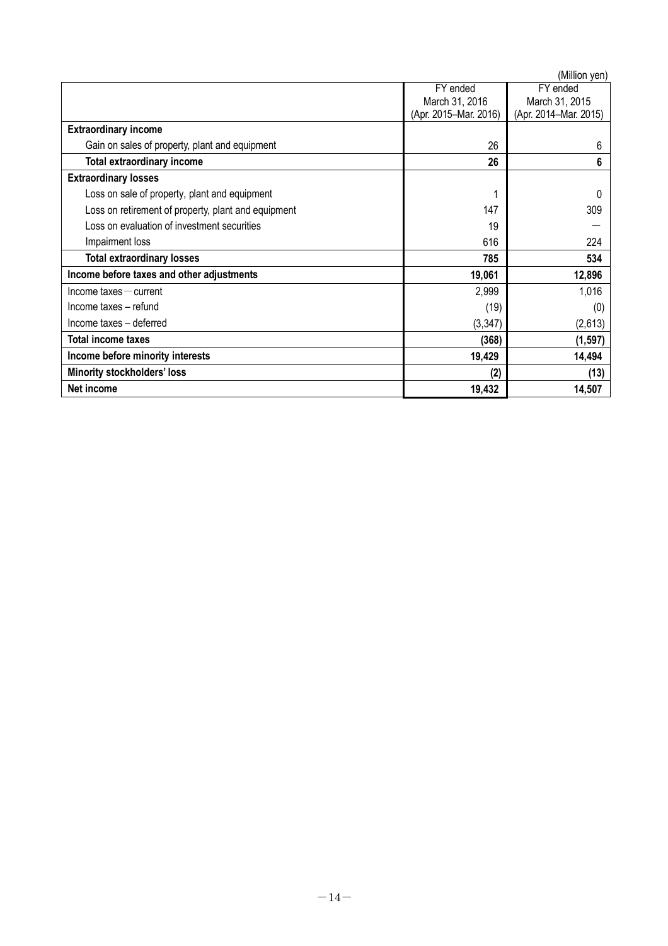|                                                     |                       | (Million yen)         |
|-----------------------------------------------------|-----------------------|-----------------------|
|                                                     | FY ended              | FY ended              |
|                                                     | March 31, 2016        | March 31, 2015        |
|                                                     | (Apr. 2015-Mar. 2016) | (Apr. 2014-Mar. 2015) |
| <b>Extraordinary income</b>                         |                       |                       |
| Gain on sales of property, plant and equipment      | 26                    | 6                     |
| Total extraordinary income                          | 26                    | 6                     |
| <b>Extraordinary losses</b>                         |                       |                       |
| Loss on sale of property, plant and equipment       |                       |                       |
| Loss on retirement of property, plant and equipment | 147                   | 309                   |
| Loss on evaluation of investment securities         | 19                    |                       |
| Impairment loss                                     | 616                   | 224                   |
| <b>Total extraordinary losses</b>                   | 785                   | 534                   |
| Income before taxes and other adjustments           | 19,061                | 12,896                |
| $lncome$ taxes $-$ current                          | 2,999                 | 1,016                 |
| Income taxes - refund                               | (19)                  | (0)                   |
| Income taxes - deferred                             | (3, 347)              | (2,613)               |
| <b>Total income taxes</b>                           | (368)                 | (1, 597)              |
| Income before minority interests                    | 19,429                | 14,494                |
| <b>Minority stockholders' loss</b>                  | (2)                   | (13)                  |
| Net income                                          | 19,432                | 14,507                |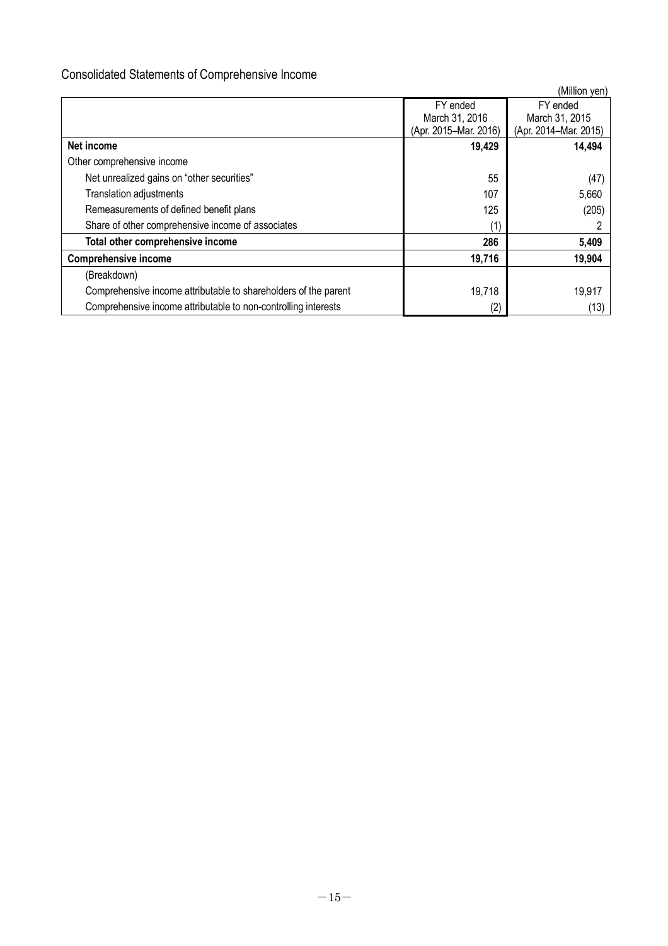## Consolidated Statements of Comprehensive Income

|                                                                 |                       | (Million yen)         |
|-----------------------------------------------------------------|-----------------------|-----------------------|
|                                                                 | FY ended              | FY ended              |
|                                                                 | March 31, 2016        | March 31, 2015        |
|                                                                 | (Apr. 2015-Mar. 2016) | (Apr. 2014-Mar. 2015) |
| Net income                                                      | 19,429                | 14,494                |
| Other comprehensive income                                      |                       |                       |
| Net unrealized gains on "other securities"                      | 55                    | (47)                  |
| <b>Translation adjustments</b>                                  | 107                   | 5,660                 |
| Remeasurements of defined benefit plans                         | 125                   | (205)                 |
| Share of other comprehensive income of associates               | (1)                   |                       |
| Total other comprehensive income                                | 286                   | 5,409                 |
| <b>Comprehensive income</b>                                     | 19,716                | 19,904                |
| (Breakdown)                                                     |                       |                       |
| Comprehensive income attributable to shareholders of the parent | 19,718                | 19,917                |
| Comprehensive income attributable to non-controlling interests  | (2)                   | (13)                  |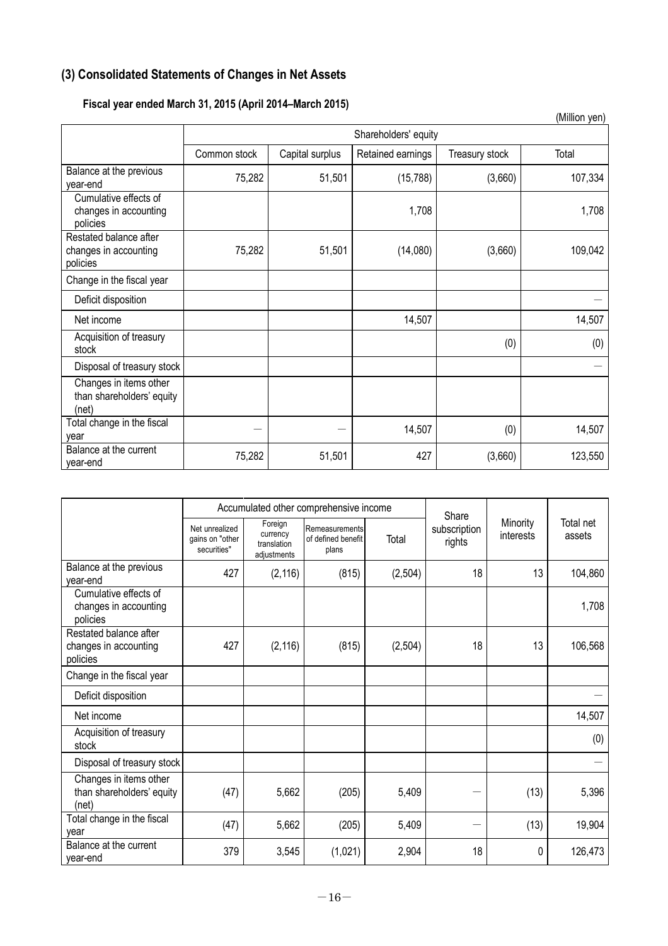## **(3) Consolidated Statements of Changes in Net Assets**

## **Fiscal year ended March 31, 2015 (April 2014–March 2015)**

|                                                              |              |                 |                      |                | (Million yen) |
|--------------------------------------------------------------|--------------|-----------------|----------------------|----------------|---------------|
|                                                              |              |                 | Shareholders' equity |                |               |
|                                                              | Common stock | Capital surplus | Retained earnings    | Treasury stock | Total         |
| Balance at the previous<br>year-end                          | 75,282       | 51,501          | (15, 788)            | (3,660)        | 107,334       |
| Cumulative effects of<br>changes in accounting<br>policies   |              |                 | 1,708                |                | 1,708         |
| Restated balance after<br>changes in accounting<br>policies  | 75,282       | 51,501          | (14,080)             | (3,660)        | 109,042       |
| Change in the fiscal year                                    |              |                 |                      |                |               |
| Deficit disposition                                          |              |                 |                      |                |               |
| Net income                                                   |              |                 | 14,507               |                | 14,507        |
| Acquisition of treasury<br>stock                             |              |                 |                      | (0)            | (0)           |
| Disposal of treasury stock                                   |              |                 |                      |                |               |
| Changes in items other<br>than shareholders' equity<br>(net) |              |                 |                      |                |               |
| Total change in the fiscal<br>year                           |              |                 | 14,507               | (0)            | 14,507        |
| Balance at the current<br>year-end                           | 75,282       | 51,501          | 427                  | (3,660)        | 123,550       |

|                                                              |                                                  | Accumulated other comprehensive income            |                                               |          |                                 |                       |                     |
|--------------------------------------------------------------|--------------------------------------------------|---------------------------------------------------|-----------------------------------------------|----------|---------------------------------|-----------------------|---------------------|
|                                                              | Net unrealized<br>gains on "other<br>securities" | Foreign<br>currency<br>translation<br>adjustments | Remeasurements<br>of defined benefit<br>plans | Total    | Share<br>subscription<br>rights | Minority<br>interests | Total net<br>assets |
| Balance at the previous<br>vear-end                          | 427                                              | (2, 116)                                          | (815)                                         | (2, 504) | 18                              | 13                    | 104,860             |
| Cumulative effects of<br>changes in accounting<br>policies   |                                                  |                                                   |                                               |          |                                 |                       | 1,708               |
| Restated balance after<br>changes in accounting<br>policies  | 427                                              | (2, 116)                                          | (815)                                         | (2, 504) | 18                              | 13                    | 106,568             |
| Change in the fiscal year                                    |                                                  |                                                   |                                               |          |                                 |                       |                     |
| Deficit disposition                                          |                                                  |                                                   |                                               |          |                                 |                       |                     |
| Net income                                                   |                                                  |                                                   |                                               |          |                                 |                       | 14,507              |
| Acquisition of treasury<br>stock                             |                                                  |                                                   |                                               |          |                                 |                       | (0)                 |
| Disposal of treasury stock                                   |                                                  |                                                   |                                               |          |                                 |                       |                     |
| Changes in items other<br>than shareholders' equity<br>(net) | (47)                                             | 5,662                                             | (205)                                         | 5,409    |                                 | (13)                  | 5,396               |
| Total change in the fiscal<br>vear                           | (47)                                             | 5,662                                             | (205)                                         | 5,409    |                                 | (13)                  | 19,904              |
| Balance at the current<br>year-end                           | 379                                              | 3,545                                             | (1,021)                                       | 2,904    | 18                              | 0                     | 126,473             |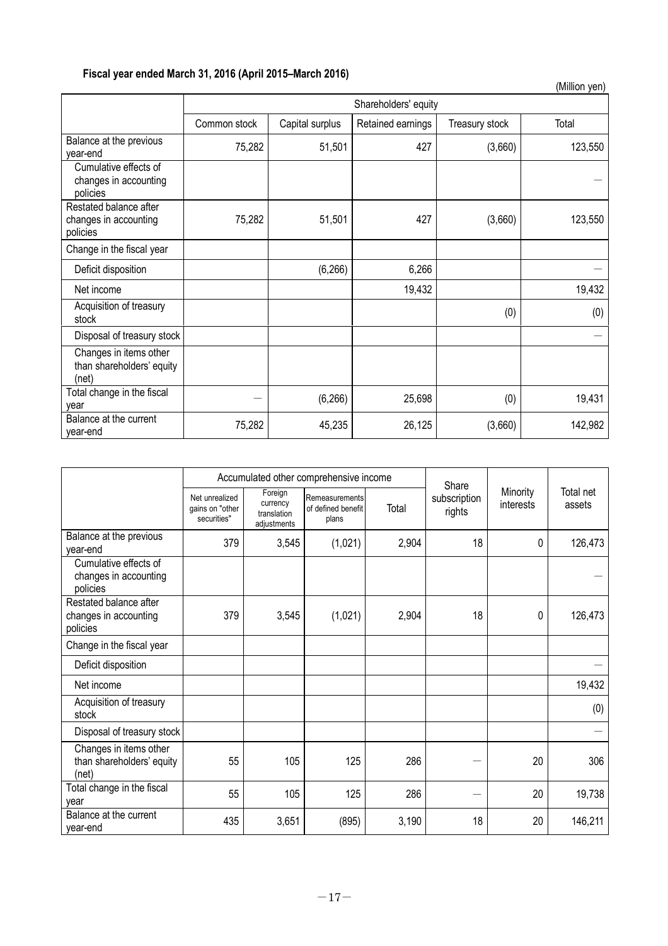## **Fiscal year ended March 31, 2016 (April 2015–March 2016)**

|                                                              |              |                 |                      |                | (Million yen) |
|--------------------------------------------------------------|--------------|-----------------|----------------------|----------------|---------------|
|                                                              |              |                 | Shareholders' equity |                |               |
|                                                              | Common stock | Capital surplus | Retained earnings    | Treasury stock | Total         |
| Balance at the previous<br>vear-end                          | 75,282       | 51,501          | 427                  | (3,660)        | 123,550       |
| Cumulative effects of<br>changes in accounting<br>policies   |              |                 |                      |                |               |
| Restated balance after<br>changes in accounting<br>policies  | 75,282       | 51,501          | 427                  | (3,660)        | 123,550       |
| Change in the fiscal year                                    |              |                 |                      |                |               |
| Deficit disposition                                          |              | (6, 266)        | 6,266                |                |               |
| Net income                                                   |              |                 | 19,432               |                | 19,432        |
| Acquisition of treasury<br>stock                             |              |                 |                      | (0)            | (0)           |
| Disposal of treasury stock                                   |              |                 |                      |                |               |
| Changes in items other<br>than shareholders' equity<br>(net) |              |                 |                      |                |               |
| Total change in the fiscal<br>vear                           |              | (6, 266)        | 25,698               | (0)            | 19,431        |
| Balance at the current<br>year-end                           | 75,282       | 45,235          | 26,125               | (3,660)        | 142,982       |

|                                                              | Accumulated other comprehensive income           |                                                   |                                               |       | Share                  |                       |                     |
|--------------------------------------------------------------|--------------------------------------------------|---------------------------------------------------|-----------------------------------------------|-------|------------------------|-----------------------|---------------------|
|                                                              | Net unrealized<br>gains on "other<br>securities" | Foreign<br>currency<br>translation<br>adjustments | Remeasurements<br>of defined benefit<br>plans | Total | subscription<br>rights | Minority<br>interests | Total net<br>assets |
| Balance at the previous<br>vear-end                          | 379                                              | 3,545                                             | (1,021)                                       | 2,904 | 18                     | 0                     | 126,473             |
| Cumulative effects of<br>changes in accounting<br>policies   |                                                  |                                                   |                                               |       |                        |                       |                     |
| Restated balance after<br>changes in accounting<br>policies  | 379                                              | 3,545                                             | (1,021)                                       | 2,904 | 18                     | 0                     | 126,473             |
| Change in the fiscal year                                    |                                                  |                                                   |                                               |       |                        |                       |                     |
| Deficit disposition                                          |                                                  |                                                   |                                               |       |                        |                       |                     |
| Net income                                                   |                                                  |                                                   |                                               |       |                        |                       | 19,432              |
| Acquisition of treasury<br>stock                             |                                                  |                                                   |                                               |       |                        |                       | (0)                 |
| Disposal of treasury stock                                   |                                                  |                                                   |                                               |       |                        |                       |                     |
| Changes in items other<br>than shareholders' equity<br>(net) | 55                                               | 105                                               | 125                                           | 286   |                        | 20                    | 306                 |
| Total change in the fiscal<br>vear                           | 55                                               | 105                                               | 125                                           | 286   |                        | 20                    | 19,738              |
| Balance at the current<br>year-end                           | 435                                              | 3,651                                             | (895)                                         | 3,190 | 18                     | 20                    | 146,211             |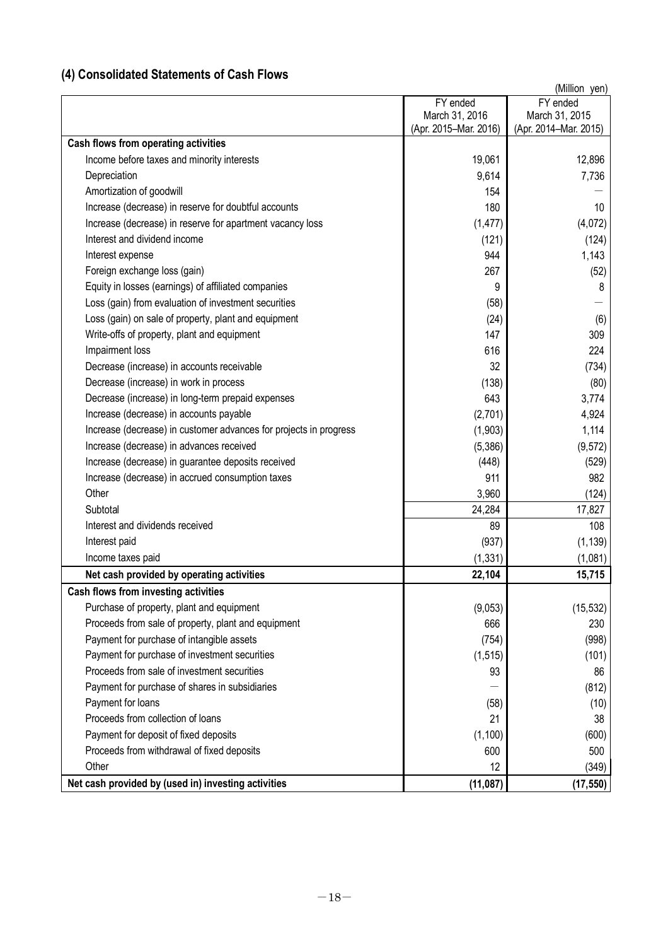## **(4) Consolidated Statements of Cash Flows**

|                                                                   |                       | (Million yen)         |
|-------------------------------------------------------------------|-----------------------|-----------------------|
|                                                                   | FY ended              | FY ended              |
|                                                                   | March 31, 2016        | March 31, 2015        |
| Cash flows from operating activities                              | (Apr. 2015-Mar. 2016) | (Apr. 2014–Mar. 2015) |
| Income before taxes and minority interests                        | 19,061                | 12,896                |
| Depreciation                                                      | 9,614                 | 7,736                 |
| Amortization of goodwill                                          | 154                   |                       |
| Increase (decrease) in reserve for doubtful accounts              | 180                   | 10 <sup>°</sup>       |
| Increase (decrease) in reserve for apartment vacancy loss         | (1, 477)              | (4,072)               |
| Interest and dividend income                                      |                       |                       |
|                                                                   | (121)<br>944          | (124)                 |
| Interest expense                                                  |                       | 1,143                 |
| Foreign exchange loss (gain)                                      | 267                   | (52)                  |
| Equity in losses (earnings) of affiliated companies               | 9                     | 8                     |
| Loss (gain) from evaluation of investment securities              | (58)                  |                       |
| Loss (gain) on sale of property, plant and equipment              | (24)                  | (6)                   |
| Write-offs of property, plant and equipment                       | 147                   | 309                   |
| Impairment loss                                                   | 616                   | 224                   |
| Decrease (increase) in accounts receivable                        | 32                    | (734)                 |
| Decrease (increase) in work in process                            | (138)                 | (80)                  |
| Decrease (increase) in long-term prepaid expenses                 | 643                   | 3,774                 |
| Increase (decrease) in accounts payable                           | (2,701)               | 4,924                 |
| Increase (decrease) in customer advances for projects in progress | (1,903)               | 1,114                 |
| Increase (decrease) in advances received                          | (5,386)               | (9, 572)              |
| Increase (decrease) in guarantee deposits received                | (448)                 | (529)                 |
| Increase (decrease) in accrued consumption taxes                  | 911                   | 982                   |
| Other                                                             | 3,960                 | (124)                 |
| Subtotal                                                          | 24,284                | 17,827                |
| Interest and dividends received                                   | 89                    | 108                   |
| Interest paid                                                     | (937)                 | (1, 139)              |
| Income taxes paid                                                 | (1, 331)              | (1,081)               |
| Net cash provided by operating activities                         | 22,104                | 15,715                |
| Cash flows from investing activities                              |                       |                       |
| Purchase of property, plant and equipment                         | (9,053)               | (15, 532)             |
| Proceeds from sale of property, plant and equipment               | 666                   | 230                   |
| Payment for purchase of intangible assets                         | (754)                 | (998)                 |
| Payment for purchase of investment securities                     | (1, 515)              | (101)                 |
| Proceeds from sale of investment securities                       | 93                    | 86                    |
| Payment for purchase of shares in subsidiaries                    |                       | (812)                 |
| Payment for loans                                                 | (58)                  | (10)                  |
| Proceeds from collection of loans                                 | 21                    | 38                    |
| Payment for deposit of fixed deposits                             | (1, 100)              | (600)                 |
| Proceeds from withdrawal of fixed deposits                        | 600                   | 500                   |
| Other                                                             | 12                    | (349)                 |
| Net cash provided by (used in) investing activities               | (11, 087)             | (17, 550)             |
|                                                                   |                       |                       |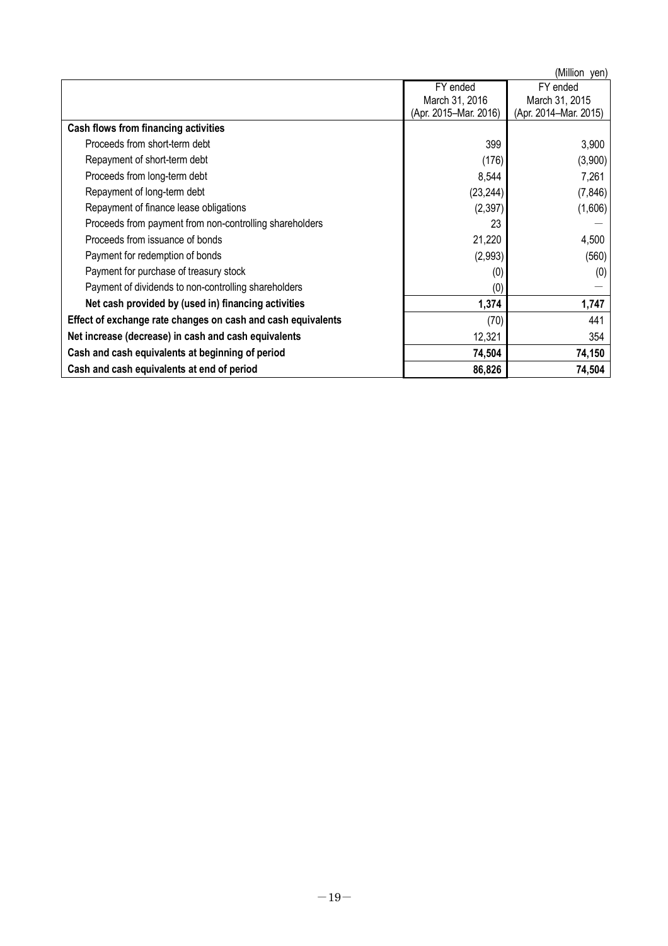|                                                              |                       | (Million yen)         |
|--------------------------------------------------------------|-----------------------|-----------------------|
|                                                              | FY ended              | FY ended              |
|                                                              | March 31, 2016        | March 31, 2015        |
|                                                              | (Apr. 2015-Mar. 2016) | (Apr. 2014-Mar. 2015) |
| Cash flows from financing activities                         |                       |                       |
| Proceeds from short-term debt                                | 399                   | 3,900                 |
| Repayment of short-term debt                                 | (176)                 | (3,900)               |
| Proceeds from long-term debt                                 | 8,544                 | 7,261                 |
| Repayment of long-term debt                                  | (23, 244)             | (7, 846)              |
| Repayment of finance lease obligations                       | (2, 397)              | (1,606)               |
| Proceeds from payment from non-controlling shareholders      | 23                    |                       |
| Proceeds from issuance of bonds                              | 21,220                | 4,500                 |
| Payment for redemption of bonds                              | (2,993)               | (560)                 |
| Payment for purchase of treasury stock                       | (0)                   | (0)                   |
| Payment of dividends to non-controlling shareholders         | $\left(0\right)$      |                       |
| Net cash provided by (used in) financing activities          | 1,374                 | 1,747                 |
| Effect of exchange rate changes on cash and cash equivalents | (70)                  | 441                   |
| Net increase (decrease) in cash and cash equivalents         | 12,321                | 354                   |
| Cash and cash equivalents at beginning of period             | 74,504                | 74,150                |
| Cash and cash equivalents at end of period                   | 86,826                | 74,504                |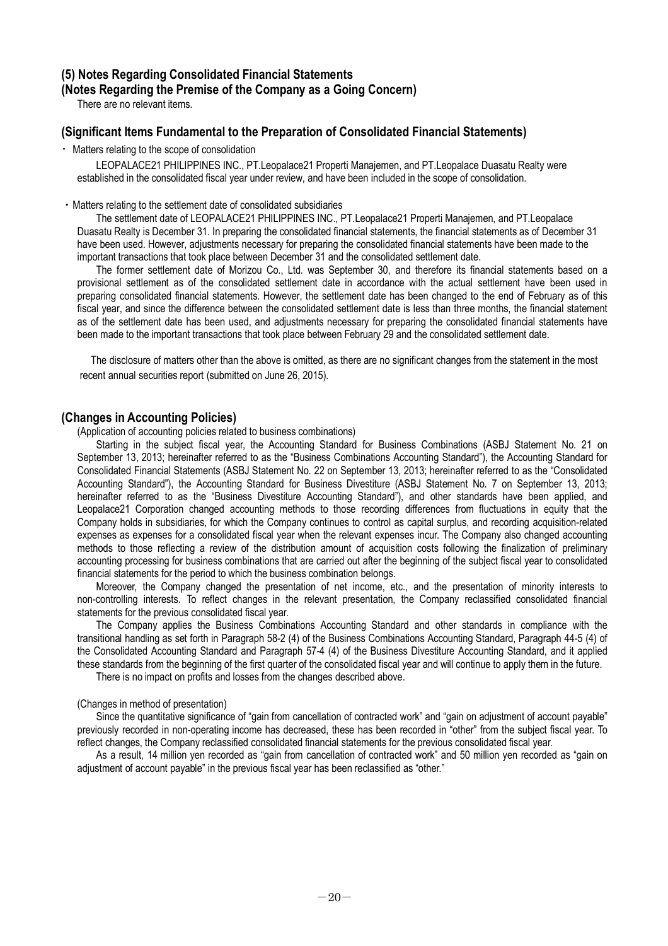### **(5) Notes Regarding Consolidated Financial Statements (Notes Regarding the Premise of the Company as a Going Concern)**

There are no relevant items.

## **(Significant Items Fundamental to the Preparation of Consolidated Financial Statements)**

・Matters relating to the scope of consolidation

LEOPALACE21 PHILIPPINES INC., PT.Leopalace21 Properti Manajemen, and PT.Leopalace Duasatu Realty were established in the consolidated fiscal year under review, and have been included in the scope of consolidation.

#### ・Matters relating to the settlement date of consolidated subsidiaries

The settlement date of LEOPALACE21 PHILIPPINES INC., PT.Leopalace21 Properti Manajemen, and PT.Leopalace Duasatu Realty is December 31. In preparing the consolidated financial statements, the financial statements as of December 31 have been used. However, adjustments necessary for preparing the consolidated financial statements have been made to the important transactions that took place between December 31 and the consolidated settlement date.

The former settlement date of Morizou Co., Ltd. was September 30, and therefore its financial statements based on a provisional settlement as of the consolidated settlement date in accordance with the actual settlement have been used in preparing consolidated financial statements. However, the settlement date has been changed to the end of February as of this fiscal year, and since the difference between the consolidated settlement date is less than three months, the financial statement as of the settlement date has been used, and adjustments necessary for preparing the consolidated financial statements have been made to the important transactions that took place between February 29 and the consolidated settlement date.

The disclosure of matters other than the above is omitted, as there are no significant changes from the statement in the most recent annual securities report (submitted on June 26, 2015).

## **(Changes in Accounting Policies)**

(Application of accounting policies related to business combinations)

Starting in the subject fiscal year, the Accounting Standard for Business Combinations (ASBJ Statement No. 21 on September 13, 2013; hereinafter referred to as the "Business Combinations Accounting Standard"), the Accounting Standard for Consolidated Financial Statements (ASBJ Statement No. 22 on September 13, 2013; hereinafter referred to as the "Consolidated Accounting Standard"), the Accounting Standard for Business Divestiture (ASBJ Statement No. 7 on September 13, 2013; hereinafter referred to as the "Business Divestiture Accounting Standard"), and other standards have been applied, and Leopalace21 Corporation changed accounting methods to those recording differences from fluctuations in equity that the Company holds in subsidiaries, for which the Company continues to control as capital surplus, and recording acquisition-related expenses as expenses for a consolidated fiscal year when the relevant expenses incur. The Company also changed accounting methods to those reflecting a review of the distribution amount of acquisition costs following the finalization of preliminary accounting processing for business combinations that are carried out after the beginning of the subject fiscal year to consolidated financial statements for the period to which the business combination belongs.

Moreover, the Company changed the presentation of net income, etc., and the presentation of minority interests to non-controlling interests. To reflect changes in the relevant presentation, the Company reclassified consolidated financial statements for the previous consolidated fiscal year.

The Company applies the Business Combinations Accounting Standard and other standards in compliance with the transitional handling as set forth in Paragraph 58-2 (4) of the Business Combinations Accounting Standard, Paragraph 44-5 (4) of the Consolidated Accounting Standard and Paragraph 57-4 (4) of the Business Divestiture Accounting Standard, and it applied these standards from the beginning of the first quarter of the consolidated fiscal year and will continue to apply them in the future.

There is no impact on profits and losses from the changes described above.

#### (Changes in method of presentation)

Since the quantitative significance of "gain from cancellation of contracted work" and "gain on adjustment of account payable" previously recorded in non-operating income has decreased, these has been recorded in "other" from the subject fiscal year. To reflect changes, the Company reclassified consolidated financial statements for the previous consolidated fiscal year.

As a result, 14 million yen recorded as "gain from cancellation of contracted work" and 50 million yen recorded as "gain on adjustment of account payable" in the previous fiscal year has been reclassified as "other."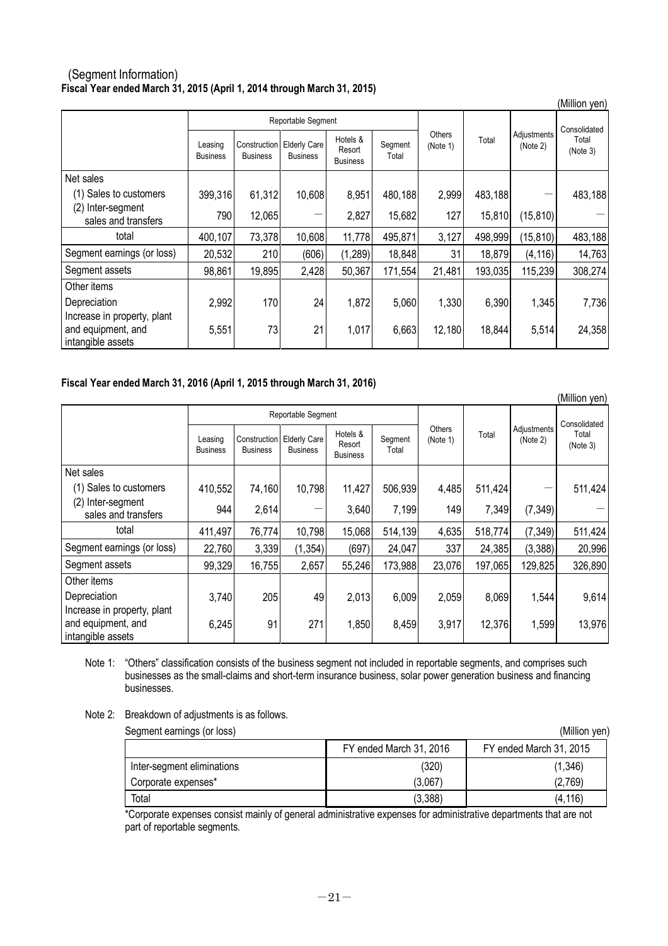## (Segment Information) **Fiscal Year ended March 31, 2015 (April 1, 2014 through March 31, 2015)**

|                                                                        |                            |                                 |                                        |                                       |                  |                           |              |                         | (Million yen)     |
|------------------------------------------------------------------------|----------------------------|---------------------------------|----------------------------------------|---------------------------------------|------------------|---------------------------|--------------|-------------------------|-------------------|
|                                                                        | Reportable Segment         |                                 |                                        |                                       |                  |                           | Consolidated |                         |                   |
|                                                                        | Leasing<br><b>Business</b> | Construction<br><b>Business</b> | <b>Elderly Care</b><br><b>Business</b> | Hotels &<br>Resort<br><b>Business</b> | Segment<br>Total | <b>Others</b><br>(Note 1) | Total        | Adjustments<br>(Note 2) | Total<br>(Note 3) |
| Net sales                                                              |                            |                                 |                                        |                                       |                  |                           |              |                         |                   |
| (1)<br>Sales to customers                                              | 399,316                    | 61,312                          | 10,608                                 | 8,951                                 | 480,188          | 2,999                     | 483,188      |                         | 483,188           |
| (2) Inter-segment<br>sales and transfers                               | 790                        | 12,065                          |                                        | 2,827                                 | 15,682           | 127                       | 15,810       | (15, 810)               |                   |
| total                                                                  | 400,107                    | 73,378                          | 10,608                                 | 11,778                                | 495,871          | 3,127                     | 498,999      | (15, 810)               | 483,188           |
| Segment earnings (or loss)                                             | 20,532                     | 210                             | (606)                                  | (1, 289)                              | 18,848           | 31                        | 18,879       | (4, 116)                | 14,763            |
| Segment assets                                                         | 98,861                     | 19,895                          | 2,428                                  | 50,367                                | 171,554          | 21,481                    | 193,035      | 115,239                 | 308,274           |
| Other items                                                            |                            |                                 |                                        |                                       |                  |                           |              |                         |                   |
| Depreciation                                                           | 2,992                      | 170                             | 24                                     | 1,872                                 | 5,060            | 1,330                     | 6,390        | 1,345                   | 7,736             |
| Increase in property, plant<br>and equipment, and<br>intangible assets | 5,551                      | 73                              | 21                                     | 1,017                                 | 6,663            | 12,180                    | 18,844       | 5,514                   | 24,358            |

## **Fiscal Year ended March 31, 2016 (April 1, 2015 through March 31, 2016)**

|                                                                        |                            |                                 |                                        |                                       |                  |                    |         |                         | (Million yen)     |
|------------------------------------------------------------------------|----------------------------|---------------------------------|----------------------------------------|---------------------------------------|------------------|--------------------|---------|-------------------------|-------------------|
|                                                                        |                            |                                 | Reportable Segment                     |                                       |                  |                    |         |                         | Consolidated      |
|                                                                        | Leasing<br><b>Business</b> | Construction<br><b>Business</b> | <b>Elderly Care</b><br><b>Business</b> | Hotels &<br>Resort<br><b>Business</b> | Segment<br>Total | Others<br>(Note 1) | Total   | Adjustments<br>(Note 2) | Total<br>(Note 3) |
| Net sales                                                              |                            |                                 |                                        |                                       |                  |                    |         |                         |                   |
| (1) Sales to customers                                                 | 410,552                    | 74,160                          | 10,798                                 | 11,427                                | 506,939          | 4,485              | 511,424 |                         | 511,424           |
| (2) Inter-segment<br>sales and transfers                               | 944                        | 2,614                           |                                        | 3,640                                 | 7,199            | 149                | 7,349   | (7, 349)                |                   |
| total                                                                  | 411,497                    | 76,774                          | 10,798                                 | 15,068                                | 514,139          | 4,635              | 518,774 | (7, 349)                | 511,424           |
| Segment earnings (or loss)                                             | 22,760                     | 3,339                           | (1, 354)                               | (697)                                 | 24,047           | 337                | 24,385  | (3,388)                 | 20,996            |
| Segment assets                                                         | 99,329                     | 16,755                          | 2,657                                  | 55,246                                | 173,988          | 23,076             | 197,065 | 129,825                 | 326,890           |
| Other items                                                            |                            |                                 |                                        |                                       |                  |                    |         |                         |                   |
| Depreciation                                                           | 3,740                      | 205                             | 49                                     | 2,013                                 | 6,009            | 2,059              | 8,069   | 1,544                   | 9,614             |
| Increase in property, plant<br>and equipment, and<br>intangible assets | 6,245                      | 91                              | 271                                    | 1,850                                 | 8,459            | 3,917              | 12,376  | 1,599                   | 13,976            |

Note 1: "Others" classification consists of the business segment not included in reportable segments, and comprises such businesses as the small-claims and short-term insurance business, solar power generation business and financing businesses.

Note 2: Breakdown of adjustments is as follows.

Segment earnings (or loss) (Million yen)

| ີ                          |                         |                         |  |  |  |
|----------------------------|-------------------------|-------------------------|--|--|--|
|                            | FY ended March 31, 2016 | FY ended March 31, 2015 |  |  |  |
| Inter-segment eliminations | (320)                   | (1, 346)                |  |  |  |
| Corporate expenses*        | (3.067)                 | (2,769)                 |  |  |  |
| Total                      | (3,388)                 | (4, 116)                |  |  |  |

\*Corporate expenses consist mainly of general administrative expenses for administrative departments that are not part of reportable segments.